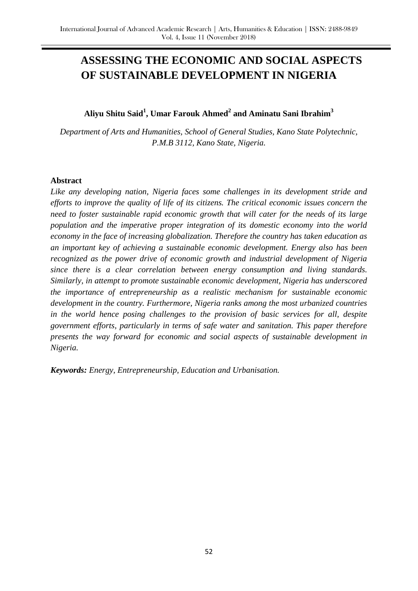# **ASSESSING THE ECONOMIC AND SOCIAL ASPECTS OF SUSTAINABLE DEVELOPMENT IN NIGERIA**

# **Aliyu Shitu Said<sup>1</sup> , Umar Farouk Ahmed<sup>2</sup> and Aminatu Sani Ibrahim<sup>3</sup>**

*Department of Arts and Humanities, School of General Studies, Kano State Polytechnic, P.M.B 3112, Kano State, Nigeria.*

#### **Abstract**

*Like any developing nation, Nigeria faces some challenges in its development stride and efforts to improve the quality of life of its citizens. The critical economic issues concern the need to foster sustainable rapid economic growth that will cater for the needs of its large population and the imperative proper integration of its domestic economy into the world economy in the face of increasing globalization. Therefore the country has taken education as an important key of achieving a sustainable economic development. Energy also has been recognized as the power drive of economic growth and industrial development of Nigeria since there is a clear correlation between energy consumption and living standards. Similarly, in attempt to promote sustainable economic development, Nigeria has underscored the importance of entrepreneurship as a realistic mechanism for sustainable economic development in the country. Furthermore, Nigeria ranks among the most urbanized countries in the world hence posing challenges to the provision of basic services for all, despite government efforts, particularly in terms of safe water and sanitation. This paper therefore presents the way forward for economic and social aspects of sustainable development in Nigeria.*

*Keywords: Energy, Entrepreneurship, Education and Urbanisation.*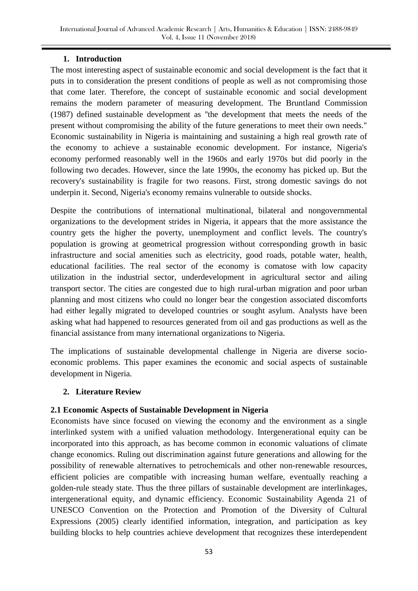#### **1. Introduction**

The most interesting aspect of sustainable economic and social development is the fact that it puts in to consideration the present conditions of people as well as not compromising those that come later. Therefore, the concept of sustainable economic and social development remains the modern parameter of measuring development. The Bruntland Commission (1987) defined sustainable development as ''the development that meets the needs of the present without compromising the ability of the future generations to meet their own needs." Economic sustainability in Nigeria is maintaining and sustaining a high real growth rate of the economy to achieve a sustainable economic development. For instance, Nigeria's economy performed reasonably well in the 1960s and early 1970s but did poorly in the following two decades. However, since the late 1990s, the economy has picked up. But the recovery's sustainability is fragile for two reasons. First, strong domestic savings do not underpin it. Second, Nigeria's economy remains vulnerable to outside shocks.

Despite the contributions of international multinational, bilateral and nongovernmental organizations to the development strides in Nigeria, it appears that the more assistance the country gets the higher the poverty, unemployment and conflict levels. The country's population is growing at geometrical progression without corresponding growth in basic infrastructure and social amenities such as electricity, good roads, potable water, health, educational facilities. The real sector of the economy is comatose with low capacity utilization in the industrial sector, underdevelopment in agricultural sector and ailing transport sector. The cities are congested due to high rural-urban migration and poor urban planning and most citizens who could no longer bear the congestion associated discomforts had either legally migrated to developed countries or sought asylum. Analysts have been asking what had happened to resources generated from oil and gas productions as well as the financial assistance from many international organizations to Nigeria.

The implications of sustainable developmental challenge in Nigeria are diverse socioeconomic problems. This paper examines the economic and social aspects of sustainable development in Nigeria.

# **2. Literature Review**

# **2.1 Economic Aspects of Sustainable Development in Nigeria**

Economists have since focused on viewing the economy and the environment as a single interlinked system with a unified valuation methodology. Intergenerational equity can be incorporated into this approach, as has become common in economic valuations of climate change economics. Ruling out discrimination against future generations and allowing for the possibility of renewable alternatives to petrochemicals and other non-renewable resources, efficient policies are compatible with increasing human welfare, eventually reaching a golden-rule steady state. Thus the three pillars of sustainable development are interlinkages, intergenerational equity, and dynamic efficiency. Economic Sustainability Agenda 21 of UNESCO Convention on the Protection and Promotion of the Diversity of Cultural Expressions (2005) clearly identified information, integration, and participation as key building blocks to help countries achieve development that recognizes these interdependent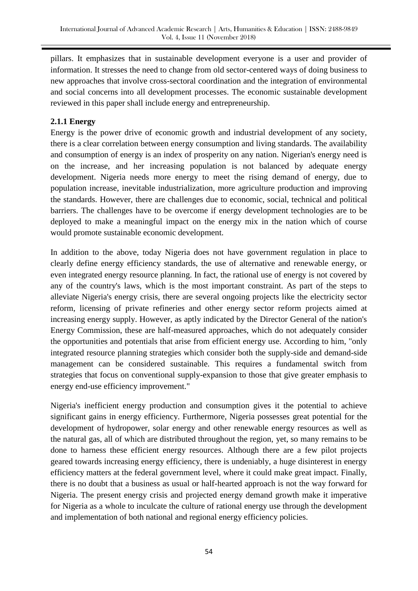pillars. It emphasizes that in sustainable development everyone is a user and provider of information. It stresses the need to change from old sector-centered ways of doing business to new approaches that involve cross-sectoral coordination and the integration of environmental and social concerns into all development processes. The economic sustainable development reviewed in this paper shall include energy and entrepreneurship.

#### **2.1.1 Energy**

Energy is the power drive of economic growth and industrial development of any society, there is a clear correlation between energy consumption and living standards. The availability and consumption of energy is an index of prosperity on any nation. Nigerian's energy need is on the increase, and her increasing population is not balanced by adequate energy development. Nigeria needs more energy to meet the rising demand of energy, due to population increase, inevitable industrialization, more agriculture production and improving the standards. However, there are challenges due to economic, social, technical and political barriers. The challenges have to be overcome if energy development technologies are to be deployed to make a meaningful impact on the energy mix in the nation which of course would promote sustainable economic development.

In addition to the above, today Nigeria does not have government regulation in place to clearly define energy efficiency standards, the use of alternative and renewable energy, or even integrated energy resource planning. In fact, the rational use of energy is not covered by any of the country's laws, which is the most important constraint. As part of the steps to alleviate Nigeria's energy crisis, there are several ongoing projects like the electricity sector reform, licensing of private refineries and other energy sector reform projects aimed at increasing energy supply. However, as aptly indicated by the Director General of the nation's Energy Commission, these are half-measured approaches, which do not adequately consider the opportunities and potentials that arise from efficient energy use. According to him, "only integrated resource planning strategies which consider both the supply-side and demand-side management can be considered sustainable. This requires a fundamental switch from strategies that focus on conventional supply-expansion to those that give greater emphasis to energy end-use efficiency improvement."

Nigeria's inefficient energy production and consumption gives it the potential to achieve significant gains in energy efficiency. Furthermore, Nigeria possesses great potential for the development of hydropower, solar energy and other renewable energy resources as well as the natural gas, all of which are distributed throughout the region, yet, so many remains to be done to harness these efficient energy resources. Although there are a few pilot projects geared towards increasing energy efficiency, there is undeniably, a huge disinterest in energy efficiency matters at the federal government level, where it could make great impact. Finally, there is no doubt that a business as usual or half-hearted approach is not the way forward for Nigeria. The present energy crisis and projected energy demand growth make it imperative for Nigeria as a whole to inculcate the culture of rational energy use through the development and implementation of both national and regional energy efficiency policies.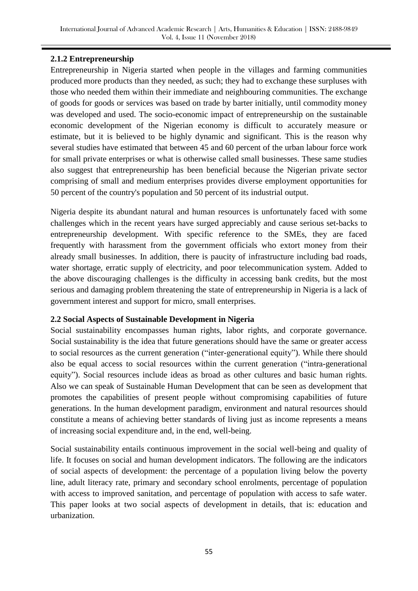# **2.1.2 Entrepreneurship**

Entrepreneurship in Nigeria started when people in the villages and farming communities produced more products than they needed, as such; they had to exchange these surpluses with those who needed them within their immediate and neighbouring communities. The exchange of goods for goods or services was based on trade by barter initially, until commodity money was developed and used. The socio-economic impact of entrepreneurship on the sustainable economic development of the Nigerian economy is difficult to accurately measure or estimate, but it is believed to be highly dynamic and significant. This is the reason why several studies have estimated that between 45 and 60 percent of the urban labour force work for small private enterprises or what is otherwise called small businesses. These same studies also suggest that entrepreneurship has been beneficial because the Nigerian private sector comprising of small and medium enterprises provides diverse employment opportunities for 50 percent of the country's population and 50 percent of its industrial output.

Nigeria despite its abundant natural and human resources is unfortunately faced with some challenges which in the recent years have surged appreciably and cause serious set-backs to entrepreneurship development. With specific reference to the SMEs, they are faced frequently with harassment from the government officials who extort money from their already small businesses. In addition, there is paucity of infrastructure including bad roads, water shortage, erratic supply of electricity, and poor telecommunication system. Added to the above discouraging challenges is the difficulty in accessing bank credits, but the most serious and damaging problem threatening the state of entrepreneurship in Nigeria is a lack of government interest and support for micro, small enterprises.

# **2.2 Social Aspects of Sustainable Development in Nigeria**

Social sustainability encompasses human rights, labor rights, and corporate governance. Social sustainability is the idea that future generations should have the same or greater access to social resources as the current generation ("inter-generational equity"). While there should also be equal access to social resources within the current generation ("intra-generational equity"). Social resources include ideas as broad as other cultures and basic human rights. Also we can speak of Sustainable Human Development that can be seen as development that promotes the capabilities of present people without compromising capabilities of future generations. In the human development paradigm, environment and natural resources should constitute a means of achieving better standards of living just as income represents a means of increasing social expenditure and, in the end, well-being.

Social sustainability entails continuous improvement in the social well-being and quality of life. It focuses on social and human development indicators. The following are the indicators of social aspects of development: the percentage of a population living below the poverty line, adult literacy rate, primary and secondary school enrolments, percentage of population with access to improved sanitation, and percentage of population with access to safe water. This paper looks at two social aspects of development in details, that is: education and urbanization.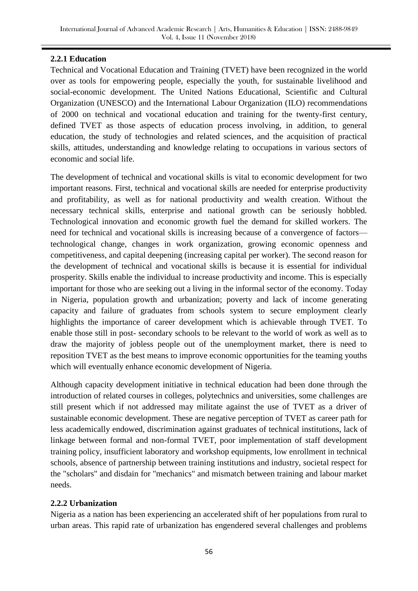# **2.2.1 Education**

Technical and Vocational Education and Training (TVET) have been recognized in the world over as tools for empowering people, especially the youth, for sustainable livelihood and social-economic development. The United Nations Educational, Scientific and Cultural Organization (UNESCO) and the International Labour Organization (ILO) recommendations of 2000 on technical and vocational education and training for the twenty-first century, defined TVET as those aspects of education process involving, in addition, to general education, the study of technologies and related sciences, and the acquisition of practical skills, attitudes, understanding and knowledge relating to occupations in various sectors of economic and social life.

The development of technical and vocational skills is vital to economic development for two important reasons. First, technical and vocational skills are needed for enterprise productivity and profitability, as well as for national productivity and wealth creation. Without the necessary technical skills, enterprise and national growth can be seriously hobbled. Technological innovation and economic growth fuel the demand for skilled workers. The need for technical and vocational skills is increasing because of a convergence of factors technological change, changes in work organization, growing economic openness and competitiveness, and capital deepening (increasing capital per worker). The second reason for the development of technical and vocational skills is because it is essential for individual prosperity. Skills enable the individual to increase productivity and income. This is especially important for those who are seeking out a living in the informal sector of the economy. Today in Nigeria, population growth and urbanization; poverty and lack of income generating capacity and failure of graduates from schools system to secure employment clearly highlights the importance of career development which is achievable through TVET. To enable those still in post- secondary schools to be relevant to the world of work as well as to draw the majority of jobless people out of the unemployment market, there is need to reposition TVET as the best means to improve economic opportunities for the teaming youths which will eventually enhance economic development of Nigeria.

Although capacity development initiative in technical education had been done through the introduction of related courses in colleges, polytechnics and universities, some challenges are still present which if not addressed may militate against the use of TVET as a driver of sustainable economic development. These are negative perception of TVET as career path for less academically endowed, discrimination against graduates of technical institutions, lack of linkage between formal and non-formal TVET, poor implementation of staff development training policy, insufficient laboratory and workshop equipments, low enrollment in technical schools, absence of partnership between training institutions and industry, societal respect for the "scholars" and disdain for "mechanics" and mismatch between training and labour market needs.

# **2.2.2 Urbanization**

Nigeria as a nation has been experiencing an accelerated shift of her populations from rural to urban areas. This rapid rate of urbanization has engendered several challenges and problems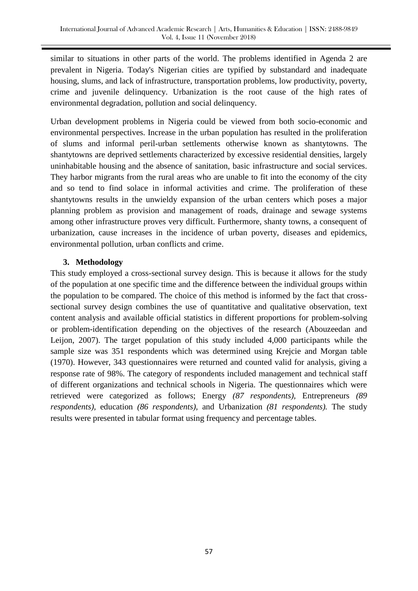similar to situations in other parts of the world. The problems identified in Agenda 2 are prevalent in Nigeria. Today's Nigerian cities are typified by substandard and inadequate housing, slums, and lack of infrastructure, transportation problems, low productivity, poverty, crime and juvenile delinquency. Urbanization is the root cause of the high rates of environmental degradation, pollution and social delinquency.

Urban development problems in Nigeria could be viewed from both socio-economic and environmental perspectives. Increase in the urban population has resulted in the proliferation of slums and informal peril-urban settlements otherwise known as shantytowns. The shantytowns are deprived settlements characterized by excessive residential densities, largely uninhabitable housing and the absence of sanitation, basic infrastructure and social services. They harbor migrants from the rural areas who are unable to fit into the economy of the city and so tend to find solace in informal activities and crime. The proliferation of these shantytowns results in the unwieldy expansion of the urban centers which poses a major planning problem as provision and management of roads, drainage and sewage systems among other infrastructure proves very difficult. Furthermore, shanty towns, a consequent of urbanization, cause increases in the incidence of urban poverty, diseases and epidemics, environmental pollution, urban conflicts and crime.

# **3. Methodology**

This study employed a cross-sectional survey design. This is because it allows for the study of the population at one specific time and the difference between the individual groups within the population to be compared. The choice of this method is informed by the fact that crosssectional survey design combines the use of quantitative and qualitative observation, text content analysis and available official statistics in different proportions for problem-solving or problem-identification depending on the objectives of the research (Abouzeedan and Leijon, 2007). The target population of this study included 4,000 participants while the sample size was 351 respondents which was determined using Krejcie and Morgan table (1970). However, 343 questionnaires were returned and counted valid for analysis, giving a response rate of 98%. The category of respondents included management and technical staff of different organizations and technical schools in Nigeria. The questionnaires which were retrieved were categorized as follows; Energy *(87 respondents),* Entrepreneurs *(89 respondents),* education *(86 respondents),* and Urbanization *(81 respondents).* The study results were presented in tabular format using frequency and percentage tables.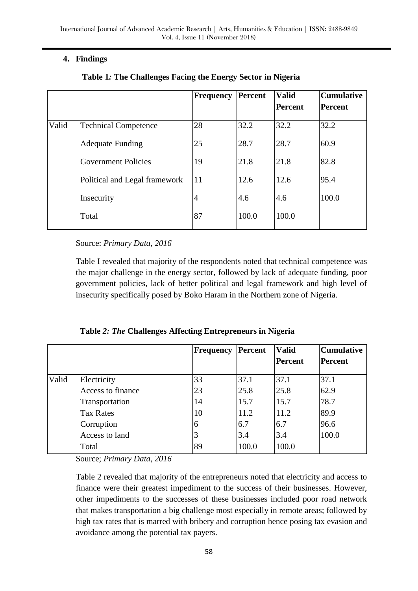# **4. Findings**

|       |                               | <b>Frequency</b> | Percent | <b>Valid</b>   | <b>Cumulative</b> |
|-------|-------------------------------|------------------|---------|----------------|-------------------|
|       |                               |                  |         | <b>Percent</b> | <b>Percent</b>    |
| Valid | <b>Technical Competence</b>   | 28               | 32.2    | 32.2           | 32.2              |
|       | <b>Adequate Funding</b>       | 25               | 28.7    | 28.7           | 60.9              |
|       | <b>Government Policies</b>    | 19               | 21.8    | 21.8           | 82.8              |
|       | Political and Legal framework | 11               | 12.6    | 12.6           | 95.4              |
|       | Insecurity                    | $\overline{4}$   | 4.6     | 4.6            | 100.0             |
|       | Total                         | 87               | 100.0   | 100.0          |                   |

# **Table 1***:* **The Challenges Facing the Energy Sector in Nigeria**

Source: *Primary Data, 2016*

Table I revealed that majority of the respondents noted that technical competence was the major challenge in the energy sector, followed by lack of adequate funding, poor government policies, lack of better political and legal framework and high level of insecurity specifically posed by Boko Haram in the Northern zone of Nigeria.

|       |                   | Frequency | <b>Percent</b> | <b>Valid</b><br><b>Percent</b> | <b>Cumulative</b><br><b>Percent</b> |
|-------|-------------------|-----------|----------------|--------------------------------|-------------------------------------|
| Valid | Electricity       | 33        | 37.1           | 37.1                           | 37.1                                |
|       | Access to finance | 23        | 25.8           | 25.8                           | 62.9                                |
|       | Transportation    | 14        | 15.7           | 15.7                           | 78.7                                |
|       | <b>Tax Rates</b>  | 10        | 11.2           | 11.2                           | 89.9                                |
|       | Corruption        | 6         | 6.7            | 6.7                            | 96.6                                |
|       | Access to land    | 3         | 3.4            | 3.4                            | 100.0                               |
|       | Total             | 89        | 100.0          | 100.0                          |                                     |

 **Table** *2: The* **Challenges Affecting Entrepreneurs in Nigeria**

Source; *Primary Data, 2016*

Table 2 revealed that majority of the entrepreneurs noted that electricity and access to finance were their greatest impediment to the success of their businesses. However, other impediments to the successes of these businesses included poor road network that makes transportation a big challenge most especially in remote areas; followed by high tax rates that is marred with bribery and corruption hence posing tax evasion and avoidance among the potential tax payers.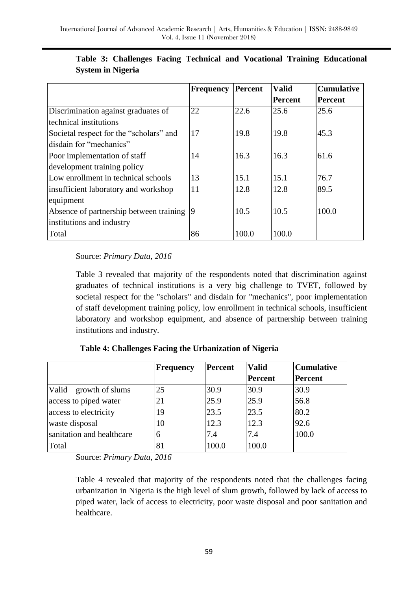|                                         | <b>Frequency</b> | <b>Percent</b> | <b>Valid</b>   | <b>Cumulative</b> |
|-----------------------------------------|------------------|----------------|----------------|-------------------|
|                                         |                  |                | <b>Percent</b> | <b>Percent</b>    |
| Discrimination against graduates of     | 22               | 22.6           | 25.6           | 25.6              |
| technical institutions                  |                  |                |                |                   |
| Societal respect for the "scholars" and | 17               | 19.8           | 19.8           | 45.3              |
| disdain for "mechanics"                 |                  |                |                |                   |
| Poor implementation of staff            | 14               | 16.3           | 16.3           | 61.6              |
| development training policy             |                  |                |                |                   |
| Low enrollment in technical schools     | 13               | 15.1           | 15.1           | 76.7              |
| insufficient laboratory and workshop    | 11               | 12.8           | 12.8           | 89.5              |
| equipment                               |                  |                |                |                   |
| Absence of partnership between training | 19               | 10.5           | 10.5           | 100.0             |
| institutions and industry               |                  |                |                |                   |
| Total                                   | 86               | 100.0          | 100.0          |                   |

# **Table 3: Challenges Facing Technical and Vocational Training Educational System in Nigeria**

#### Source: *Primary Data, 2016*

Table 3 revealed that majority of the respondents noted that discrimination against graduates of technical institutions is a very big challenge to TVET, followed by societal respect for the "scholars" and disdain for "mechanics", poor implementation of staff development training policy, low enrollment in technical schools, insufficient laboratory and workshop equipment, and absence of partnership between training institutions and industry.

|                           | Frequency | <b>Percent</b> | <b>Valid</b>   | <b>Cumulative</b> |
|---------------------------|-----------|----------------|----------------|-------------------|
|                           |           |                | <b>Percent</b> | Percent           |
| Valid growth of slums     | 25        | 30.9           | 30.9           | 30.9              |
| access to piped water     | 21        | 25.9           | 25.9           | 56.8              |
| access to electricity     | 19        | 23.5           | 23.5           | 80.2              |
| waste disposal            | 10        | 12.3           | 12.3           | 92.6              |
| sanitation and healthcare | 6         | 7.4            | 7.4            | 100.0             |
| Total                     | 81        | 100.0          | 100.0          |                   |

# **Table 4: Challenges Facing the Urbanization of Nigeria**

Source: *Primary Data, 2016*

Table 4 revealed that majority of the respondents noted that the challenges facing urbanization in Nigeria is the high level of slum growth, followed by lack of access to piped water, lack of access to electricity, poor waste disposal and poor sanitation and healthcare.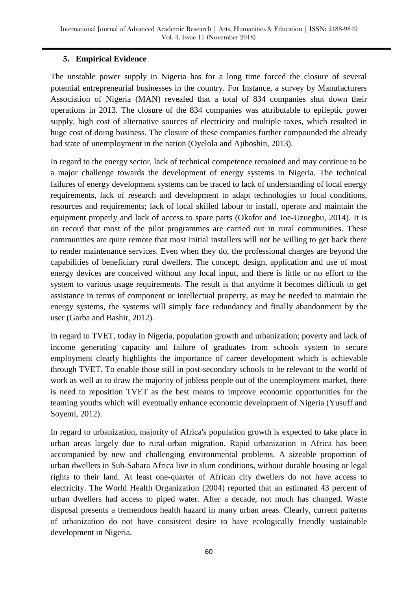#### **5. Empirical Evidence**

The unstable power supply in Nigeria has for a long time forced the closure of several potential entrepreneurial businesses in the country. For Instance, a survey by Manufacturers Association of Nigeria (MAN) revealed that a total of 834 companies shut down their operations in 2013. The closure of the 834 companies was attributable to epileptic power supply, high cost of alternative sources of electricity and multiple taxes, which resulted in huge cost of doing business. The closure of these companies further compounded the already bad state of unemployment in the nation (Oyelola and Ajiboshin, 2013).

In regard to the energy sector, lack of technical competence remained and may continue to be a major challenge towards the development of energy systems in Nigeria. The technical failures of energy development systems can be traced to lack of understanding of local energy requirements, lack of research and development to adapt technologies to local conditions, resources and requirements; lack of local skilled labour to install, operate and maintain the equipment properly and lack of access to spare parts (Okafor and Joe-Uzuegbu, 2014). It is on record that most of the pilot programmes are carried out in rural communities. These communities are quite remote that most initial installers will not be willing to get back there to render maintenance services. Even when they do, the professional charges are beyond the capabilities of beneficiary rural dwellers. The concept, design, application and use of most energy devices are conceived without any local input, and there is little or no effort to the system to various usage requirements. The result is that anytime it becomes difficult to get assistance in terms of component or intellectual property, as may be needed to maintain the energy systems, the systems will simply face redundancy and finally abandonment by the user (Garba and Bashir, 2012).

In regard to TVET, today in Nigeria, population growth and urbanization; poverty and lack of income generating capacity and failure of graduates from schools system to secure employment clearly highlights the importance of career development which is achievable through TVET. To enable those still in post-secondary schools to be relevant to the world of work as well as to draw the majority of jobless people out of the unemployment market, there is need to reposition TVET as the best means to improve economic opportunities for the teaming youths which will eventually enhance economic development of Nigeria (Yusuff and Soyemi, 2012).

In regard to urbanization, majority of Africa's population growth is expected to take place in urban areas largely due to rural-urban migration. Rapid urbanization in Africa has been accompanied by new and challenging environmental problems. A sizeable proportion of urban dwellers in Sub-Sahara Africa live in slum conditions, without durable housing or legal rights to their land. At least one-quarter of African city dwellers do not have access to electricity. The World Health Organization (2004) reported that an estimated 43 percent of urban dwellers had access to piped water. After a decade, not much has changed. Waste disposal presents a tremendous health hazard in many urban areas. Clearly, current patterns of urbanization do not have consistent desire to have ecologically friendly sustainable development in Nigeria.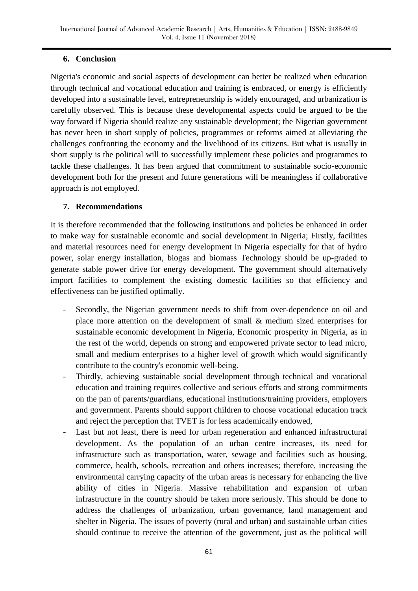#### **6. Conclusion**

Nigeria's economic and social aspects of development can better be realized when education through technical and vocational education and training is embraced, or energy is efficiently developed into a sustainable level, entrepreneurship is widely encouraged, and urbanization is carefully observed. This is because these developmental aspects could be argued to be the way forward if Nigeria should realize any sustainable development; the Nigerian government has never been in short supply of policies, programmes or reforms aimed at alleviating the challenges confronting the economy and the livelihood of its citizens. But what is usually in short supply is the political will to successfully implement these policies and programmes to tackle these challenges. It has been argued that commitment to sustainable socio-economic development both for the present and future generations will be meaningless if collaborative approach is not employed.

#### **7. Recommendations**

It is therefore recommended that the following institutions and policies be enhanced in order to make way for sustainable economic and social development in Nigeria; Firstly, facilities and material resources need for energy development in Nigeria especially for that of hydro power, solar energy installation, biogas and biomass Technology should be up-graded to generate stable power drive for energy development. The government should alternatively import facilities to complement the existing domestic facilities so that efficiency and effectiveness can be justified optimally.

- Secondly, the Nigerian government needs to shift from over-dependence on oil and place more attention on the development of small & medium sized enterprises for sustainable economic development in Nigeria, Economic prosperity in Nigeria, as in the rest of the world, depends on strong and empowered private sector to lead micro, small and medium enterprises to a higher level of growth which would significantly contribute to the country's economic well-being.
- Thirdly, achieving sustainable social development through technical and vocational education and training requires collective and serious efforts and strong commitments on the pan of parents/guardians, educational institutions/training providers, employers and government. Parents should support children to choose vocational education track and reject the perception that TVET is for less academically endowed,
- Last but not least, there is need for urban regeneration and enhanced infrastructural development. As the population of an urban centre increases, its need for infrastructure such as transportation, water, sewage and facilities such as housing, commerce, health, schools, recreation and others increases; therefore, increasing the environmental carrying capacity of the urban areas is necessary for enhancing the live ability of cities in Nigeria. Massive rehabilitation and expansion of urban infrastructure in the country should be taken more seriously. This should be done to address the challenges of urbanization, urban governance, land management and shelter in Nigeria. The issues of poverty (rural and urban) and sustainable urban cities should continue to receive the attention of the government, just as the political will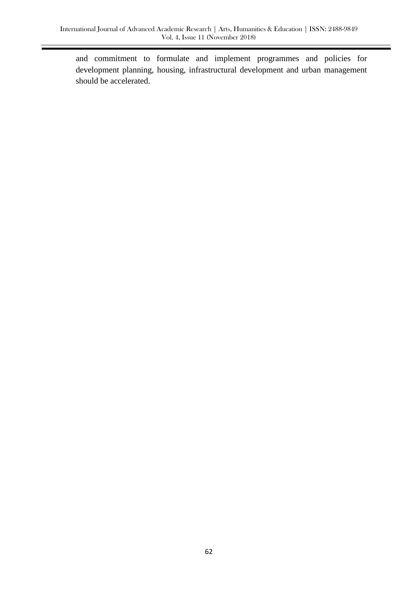and commitment to formulate and implement programmes and policies for development planning, housing, infrastructural development and urban management should be accelerated.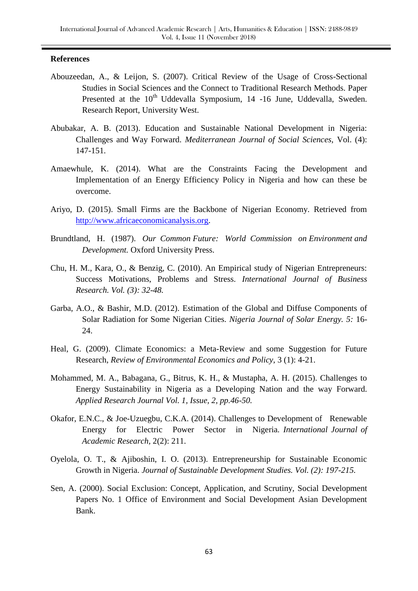#### **References**

- Abouzeedan, A., & Leijon, S. (2007). Critical Review of the Usage of Cross-Sectional Studies in Social Sciences and the Connect to Traditional Research Methods. Paper Presented at the 10<sup>th</sup> Uddevalla Symposium, 14 -16 June, Uddevalla, Sweden. Research Report, University West.
- Abubakar, A. B. (2013). Education and Sustainable National Development in Nigeria: Challenges and Way Forward. *Mediterranean Journal of Social Sciences,* Vol. (4): 147-151.
- Amaewhule, K. (2014). What are the Constraints Facing the Development and Implementation of an Energy Efficiency Policy in Nigeria and how can these be overcome.
- Ariyo, D. (2015). Small Firms are the Backbone of Nigerian Economy. Retrieved from [http://www.africaeconomicanalysis.org.](http://www.africaeconomicanalysis.org/)
- Brundtland, H. (1987). *Our Common Future: World Commission on Environment and Development.* Oxford University Press.
- Chu, H. M., Kara, O., & Benzig, C. (2010). An Empirical study of Nigerian Entrepreneurs: Success Motivations, Problems and Stress. *International Journal of Business Research. Vol. (3): 32-48.*
- Garba, A.O., & Bashir, M.D. (2012). Estimation of the Global and Diffuse Components of Solar Radiation for Some Nigerian Cities. *Nigeria Journal of Solar Energy. 5:* 16- 24.
- Heal, G. (2009). Climate Economics: a Meta-Review and some Suggestion for Future Research, *Review of Environmental Economics and Policy,* 3 (1): 4-21.
- Mohammed, M. A., Babagana, G., Bitrus, K. H., & Mustapha, A. H. (2015). Challenges to Energy Sustainability in Nigeria as a Developing Nation and the way Forward. *Applied Research Journal Vol. 1, Issue, 2, pp.46-50.*
- Okafor, E.N.C., & Joe-Uzuegbu, C.K.A. (2014). Challenges to Development of Renewable Energy for Electric Power Sector in Nigeria. *International Journal of Academic Research,* 2(2): 211.
- Oyelola, O. T., & Ajiboshin, I. O. (2013). Entrepreneurship for Sustainable Economic Growth in Nigeria. *Journal of Sustainable Development Studies. Vol. (2): 197-215.*
- Sen, A. (2000). Social Exclusion: Concept, Application, and Scrutiny, Social Development Papers No. 1 Office of Environment and Social Development Asian Development Bank.